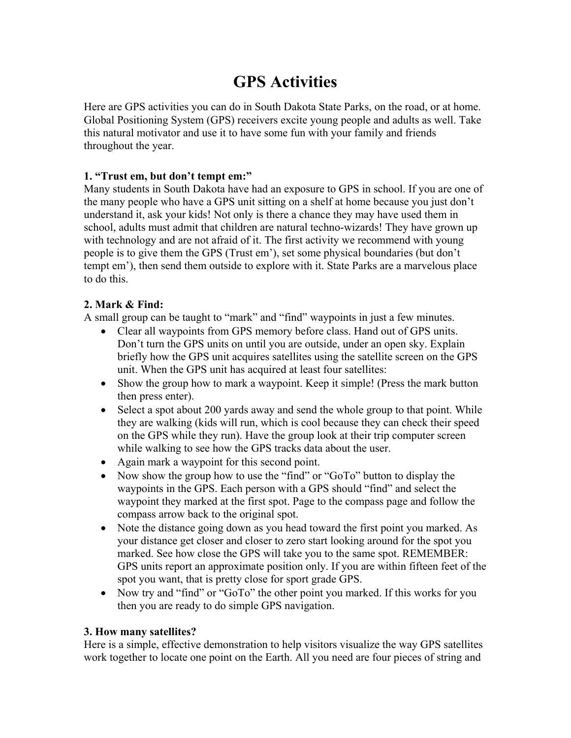# **GPS Activities**

Here are GPS activities you can do in South Dakota State Parks, on the road, or at home. Global Positioning System (GPS) receivers excite young people and adults as well. Take this natural motivator and use it to have some fun with your family and friends throughout the year.

# **1. "Trust em, but don't tempt em:"**

Many students in South Dakota have had an exposure to GPS in school. If you are one of the many people who have a GPS unit sitting on a shelf at home because you just don't understand it, ask your kids! Not only is there a chance they may have used them in school, adults must admit that children are natural techno-wizards! They have grown up with technology and are not afraid of it. The first activity we recommend with young people is to give them the GPS (Trust em'), set some physical boundaries (but don't tempt em'), then send them outside to explore with it. State Parks are a marvelous place to do this.

# **2. Mark & Find:**

A small group can be taught to "mark" and "find" waypoints in just a few minutes.

- Clear all waypoints from GPS memory before class. Hand out of GPS units. Don't turn the GPS units on until you are outside, under an open sky. Explain briefly how the GPS unit acquires satellites using the satellite screen on the GPS unit. When the GPS unit has acquired at least four satellites:
- Show the group how to mark a waypoint. Keep it simple! (Press the mark button then press enter).
- Select a spot about 200 yards away and send the whole group to that point. While they are walking (kids will run, which is cool because they can check their speed on the GPS while they run). Have the group look at their trip computer screen while walking to see how the GPS tracks data about the user.
- Again mark a waypoint for this second point.
- Now show the group how to use the "find" or "GoTo" button to display the waypoints in the GPS. Each person with a GPS should "find" and select the waypoint they marked at the first spot. Page to the compass page and follow the compass arrow back to the original spot.
- Note the distance going down as you head toward the first point you marked. As your distance get closer and closer to zero start looking around for the spot you marked. See how close the GPS will take you to the same spot. REMEMBER: GPS units report an approximate position only. If you are within fifteen feet of the spot you want, that is pretty close for sport grade GPS.
- Now try and "find" or "GoTo" the other point you marked. If this works for you then you are ready to do simple GPS navigation.

# **3. How many satellites?**

Here is a simple, effective demonstration to help visitors visualize the way GPS satellites work together to locate one point on the Earth. All you need are four pieces of string and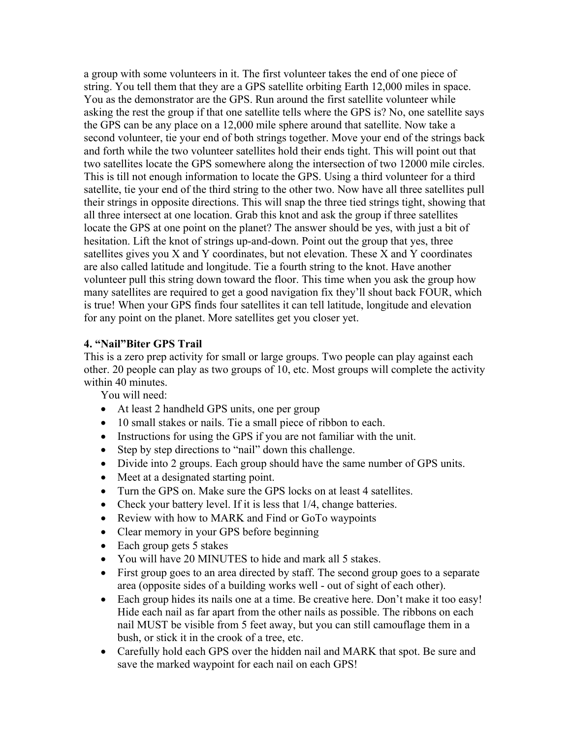a group with some volunteers in it. The first volunteer takes the end of one piece of string. You tell them that they are a GPS satellite orbiting Earth 12,000 miles in space. You as the demonstrator are the GPS. Run around the first satellite volunteer while asking the rest the group if that one satellite tells where the GPS is? No, one satellite says the GPS can be any place on a 12,000 mile sphere around that satellite. Now take a second volunteer, tie your end of both strings together. Move your end of the strings back and forth while the two volunteer satellites hold their ends tight. This will point out that two satellites locate the GPS somewhere along the intersection of two 12000 mile circles. This is till not enough information to locate the GPS. Using a third volunteer for a third satellite, tie your end of the third string to the other two. Now have all three satellites pull their strings in opposite directions. This will snap the three tied strings tight, showing that all three intersect at one location. Grab this knot and ask the group if three satellites locate the GPS at one point on the planet? The answer should be yes, with just a bit of hesitation. Lift the knot of strings up-and-down. Point out the group that yes, three satellites gives you X and Y coordinates, but not elevation. These X and Y coordinates are also called latitude and longitude. Tie a fourth string to the knot. Have another volunteer pull this string down toward the floor. This time when you ask the group how many satellites are required to get a good navigation fix they'll shout back FOUR, which is true! When your GPS finds four satellites it can tell latitude, longitude and elevation for any point on the planet. More satellites get you closer yet.

## **4. "Nail"Biter GPS Trail**

This is a zero prep activity for small or large groups. Two people can play against each other. 20 people can play as two groups of 10, etc. Most groups will complete the activity within 40 minutes.

You will need:

- At least 2 handheld GPS units, one per group
- 10 small stakes or nails. Tie a small piece of ribbon to each.
- Instructions for using the GPS if you are not familiar with the unit.
- Step by step directions to "nail" down this challenge.
- Divide into 2 groups. Each group should have the same number of GPS units.
- Meet at a designated starting point.
- Turn the GPS on. Make sure the GPS locks on at least 4 satellites.
- Check your battery level. If it is less that  $1/4$ , change batteries.
- Review with how to MARK and Find or GoTo waypoints
- Clear memory in your GPS before beginning
- Each group gets 5 stakes
- You will have 20 MINUTES to hide and mark all 5 stakes.
- First group goes to an area directed by staff. The second group goes to a separate area (opposite sides of a building works well - out of sight of each other).
- Each group hides its nails one at a time. Be creative here. Don't make it too easy! Hide each nail as far apart from the other nails as possible. The ribbons on each nail MUST be visible from 5 feet away, but you can still camouflage them in a bush, or stick it in the crook of a tree, etc.
- Carefully hold each GPS over the hidden nail and MARK that spot. Be sure and save the marked waypoint for each nail on each GPS!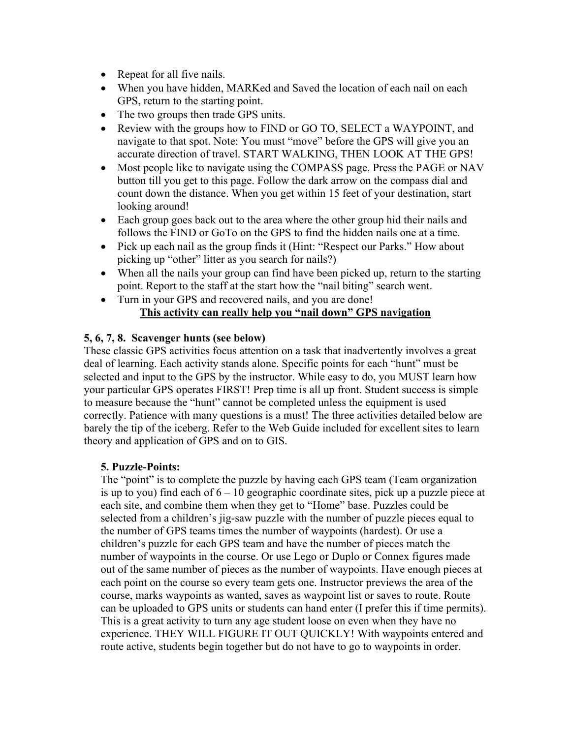- Repeat for all five nails.
- When you have hidden, MARKed and Saved the location of each nail on each GPS, return to the starting point.
- The two groups then trade GPS units.
- Review with the groups how to FIND or GO TO, SELECT a WAYPOINT, and navigate to that spot. Note: You must "move" before the GPS will give you an accurate direction of travel. START WALKING, THEN LOOK AT THE GPS!
- Most people like to navigate using the COMPASS page. Press the PAGE or NAV button till you get to this page. Follow the dark arrow on the compass dial and count down the distance. When you get within 15 feet of your destination, start looking around!
- Each group goes back out to the area where the other group hid their nails and follows the FIND or GoTo on the GPS to find the hidden nails one at a time.
- Pick up each nail as the group finds it (Hint: "Respect our Parks." How about picking up "other" litter as you search for nails?)
- When all the nails your group can find have been picked up, return to the starting point. Report to the staff at the start how the "nail biting" search went.
- Turn in your GPS and recovered nails, and you are done! **This activity can really help you "nail down" GPS navigation**

# **5, 6, 7, 8. Scavenger hunts (see below)**

These classic GPS activities focus attention on a task that inadvertently involves a great deal of learning. Each activity stands alone. Specific points for each "hunt" must be selected and input to the GPS by the instructor. While easy to do, you MUST learn how your particular GPS operates FIRST! Prep time is all up front. Student success is simple to measure because the "hunt" cannot be completed unless the equipment is used correctly. Patience with many questions is a must! The three activities detailed below are barely the tip of the iceberg. Refer to the Web Guide included for excellent sites to learn theory and application of GPS and on to GIS.

# **5. Puzzle-Points:**

The "point" is to complete the puzzle by having each GPS team (Team organization is up to you) find each of  $6 - 10$  geographic coordinate sites, pick up a puzzle piece at each site, and combine them when they get to "Home" base. Puzzles could be selected from a children's jig-saw puzzle with the number of puzzle pieces equal to the number of GPS teams times the number of waypoints (hardest). Or use a children's puzzle for each GPS team and have the number of pieces match the number of waypoints in the course. Or use Lego or Duplo or Connex figures made out of the same number of pieces as the number of waypoints. Have enough pieces at each point on the course so every team gets one. Instructor previews the area of the course, marks waypoints as wanted, saves as waypoint list or saves to route. Route can be uploaded to GPS units or students can hand enter (I prefer this if time permits). This is a great activity to turn any age student loose on even when they have no experience. THEY WILL FIGURE IT OUT QUICKLY! With waypoints entered and route active, students begin together but do not have to go to waypoints in order.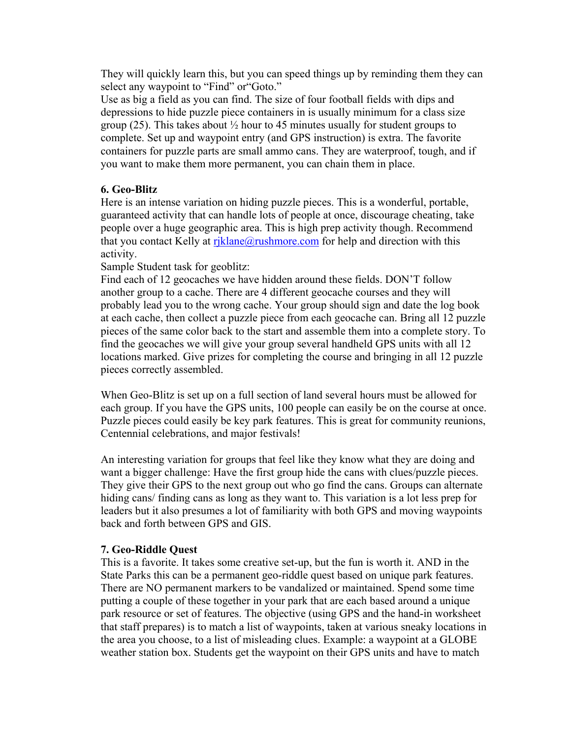They will quickly learn this, but you can speed things up by reminding them they can select any waypoint to "Find" or "Goto."

Use as big a field as you can find. The size of four football fields with dips and depressions to hide puzzle piece containers in is usually minimum for a class size group (25). This takes about  $\frac{1}{2}$  hour to 45 minutes usually for student groups to complete. Set up and waypoint entry (and GPS instruction) is extra. The favorite containers for puzzle parts are small ammo cans. They are waterproof, tough, and if you want to make them more permanent, you can chain them in place.

## **6. Geo-Blitz**

Here is an intense variation on hiding puzzle pieces. This is a wonderful, portable, guaranteed activity that can handle lots of people at once, discourage cheating, take people over a huge geographic area. This is high prep activity though. Recommend that you contact Kelly at riklane@rushmore.com for help and direction with this activity.

Sample Student task for geoblitz:

Find each of 12 geocaches we have hidden around these fields. DON'T follow another group to a cache. There are 4 different geocache courses and they will probably lead you to the wrong cache. Your group should sign and date the log book at each cache, then collect a puzzle piece from each geocache can. Bring all 12 puzzle pieces of the same color back to the start and assemble them into a complete story. To find the geocaches we will give your group several handheld GPS units with all 12 locations marked. Give prizes for completing the course and bringing in all 12 puzzle pieces correctly assembled.

When Geo-Blitz is set up on a full section of land several hours must be allowed for each group. If you have the GPS units, 100 people can easily be on the course at once. Puzzle pieces could easily be key park features. This is great for community reunions, Centennial celebrations, and major festivals!

An interesting variation for groups that feel like they know what they are doing and want a bigger challenge: Have the first group hide the cans with clues/puzzle pieces. They give their GPS to the next group out who go find the cans. Groups can alternate hiding cans/ finding cans as long as they want to. This variation is a lot less prep for leaders but it also presumes a lot of familiarity with both GPS and moving waypoints back and forth between GPS and GIS.

#### **7. Geo-Riddle Quest**

This is a favorite. It takes some creative set-up, but the fun is worth it. AND in the State Parks this can be a permanent geo-riddle quest based on unique park features. There are NO permanent markers to be vandalized or maintained. Spend some time putting a couple of these together in your park that are each based around a unique park resource or set of features. The objective (using GPS and the hand-in worksheet that staff prepares) is to match a list of waypoints, taken at various sneaky locations in the area you choose, to a list of misleading clues. Example: a waypoint at a GLOBE weather station box. Students get the waypoint on their GPS units and have to match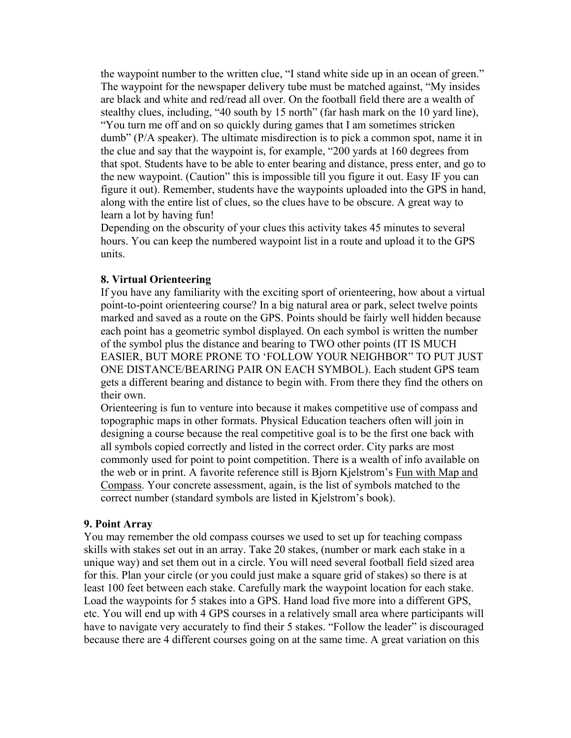the waypoint number to the written clue, "I stand white side up in an ocean of green." The waypoint for the newspaper delivery tube must be matched against, "My insides are black and white and red/read all over. On the football field there are a wealth of stealthy clues, including, "40 south by 15 north" (far hash mark on the 10 yard line), "You turn me off and on so quickly during games that I am sometimes stricken dumb" (P/A speaker). The ultimate misdirection is to pick a common spot, name it in the clue and say that the waypoint is, for example, "200 yards at 160 degrees from that spot. Students have to be able to enter bearing and distance, press enter, and go to the new waypoint. (Caution" this is impossible till you figure it out. Easy IF you can figure it out). Remember, students have the waypoints uploaded into the GPS in hand, along with the entire list of clues, so the clues have to be obscure. A great way to learn a lot by having fun!

Depending on the obscurity of your clues this activity takes 45 minutes to several hours. You can keep the numbered waypoint list in a route and upload it to the GPS units.

#### **8. Virtual Orienteering**

If you have any familiarity with the exciting sport of orienteering, how about a virtual point-to-point orienteering course? In a big natural area or park, select twelve points marked and saved as a route on the GPS. Points should be fairly well hidden because each point has a geometric symbol displayed. On each symbol is written the number of the symbol plus the distance and bearing to TWO other points (IT IS MUCH EASIER, BUT MORE PRONE TO 'FOLLOW YOUR NEIGHBOR" TO PUT JUST ONE DISTANCE/BEARING PAIR ON EACH SYMBOL). Each student GPS team gets a different bearing and distance to begin with. From there they find the others on their own.

Orienteering is fun to venture into because it makes competitive use of compass and topographic maps in other formats. Physical Education teachers often will join in designing a course because the real competitive goal is to be the first one back with all symbols copied correctly and listed in the correct order. City parks are most commonly used for point to point competition. There is a wealth of info available on the web or in print. A favorite reference still is Bjorn Kjelstrom's Fun with Map and Compass. Your concrete assessment, again, is the list of symbols matched to the correct number (standard symbols are listed in Kjelstrom's book).

#### **9. Point Array**

You may remember the old compass courses we used to set up for teaching compass skills with stakes set out in an array. Take 20 stakes, (number or mark each stake in a unique way) and set them out in a circle. You will need several football field sized area for this. Plan your circle (or you could just make a square grid of stakes) so there is at least 100 feet between each stake. Carefully mark the waypoint location for each stake. Load the waypoints for 5 stakes into a GPS. Hand load five more into a different GPS, etc. You will end up with 4 GPS courses in a relatively small area where participants will have to navigate very accurately to find their 5 stakes. "Follow the leader" is discouraged because there are 4 different courses going on at the same time. A great variation on this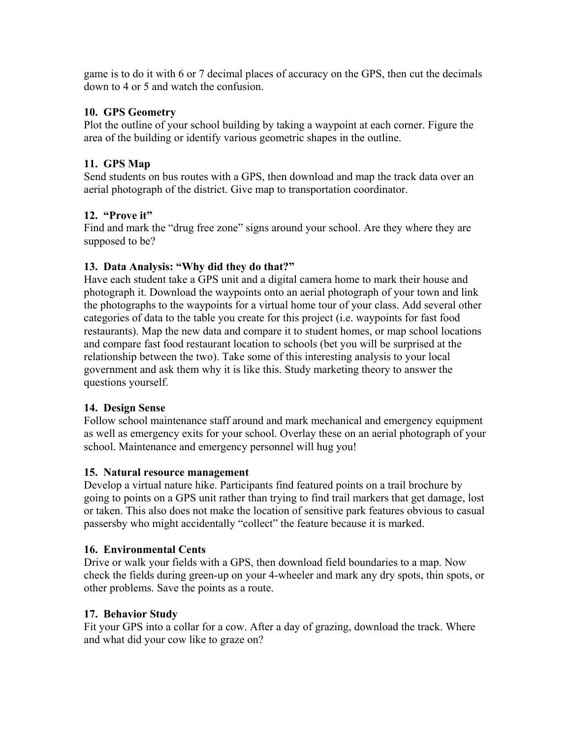game is to do it with 6 or 7 decimal places of accuracy on the GPS, then cut the decimals down to 4 or 5 and watch the confusion.

# **10. GPS Geometry**

Plot the outline of your school building by taking a waypoint at each corner. Figure the area of the building or identify various geometric shapes in the outline.

# **11. GPS Map**

Send students on bus routes with a GPS, then download and map the track data over an aerial photograph of the district. Give map to transportation coordinator.

# **12. "Prove it"**

Find and mark the "drug free zone" signs around your school. Are they where they are supposed to be?

# **13. Data Analysis: "Why did they do that?"**

Have each student take a GPS unit and a digital camera home to mark their house and photograph it. Download the waypoints onto an aerial photograph of your town and link the photographs to the waypoints for a virtual home tour of your class. Add several other categories of data to the table you create for this project (i.e. waypoints for fast food restaurants). Map the new data and compare it to student homes, or map school locations and compare fast food restaurant location to schools (bet you will be surprised at the relationship between the two). Take some of this interesting analysis to your local government and ask them why it is like this. Study marketing theory to answer the questions yourself.

# **14. Design Sense**

Follow school maintenance staff around and mark mechanical and emergency equipment as well as emergency exits for your school. Overlay these on an aerial photograph of your school. Maintenance and emergency personnel will hug you!

# **15. Natural resource management**

Develop a virtual nature hike. Participants find featured points on a trail brochure by going to points on a GPS unit rather than trying to find trail markers that get damage, lost or taken. This also does not make the location of sensitive park features obvious to casual passersby who might accidentally "collect" the feature because it is marked.

# **16. Environmental Cents**

Drive or walk your fields with a GPS, then download field boundaries to a map. Now check the fields during green-up on your 4-wheeler and mark any dry spots, thin spots, or other problems. Save the points as a route.

# **17. Behavior Study**

Fit your GPS into a collar for a cow. After a day of grazing, download the track. Where and what did your cow like to graze on?